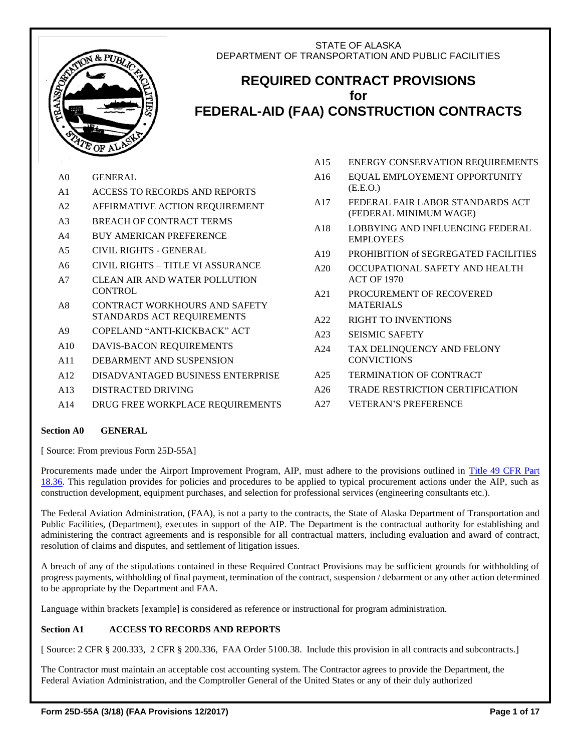# STATE OF ALASKA DEPARTMENT OF TRANSPORTATION AND PUBLIC FACILITIES



# **REQUIRED CONTRACT PROVISIONS for FEDERAL-AID (FAA) CONSTRUCTION CONTRACTS**

- A0 GENERAL A1 ACCESS TO RECORDS AND REPORTS
- A2 AFFIRMATIVE ACTION REQUIREMENT
- A3 BREACH OF CONTRACT TERMS
- A4 BUY AMERICAN PREFERENCE
- A5 CIVIL RIGHTS GENERAL
- A6 CIVIL RIGHTS TITLE VI ASSURANCE
- A7 CLEAN AIR AND WATER POLLUTION **CONTROL**
- A8 CONTRACT WORKHOURS AND SAFETY STANDARDS ACT REQUIREMENTS
- A9 COPELAND "ANTI-KICKBACK" ACT
- A10 DAVIS-BACON REQUIREMENTS
- A11 DEBARMENT AND SUSPENSION
- A12 DISADVANTAGED BUSINESS ENTERPRISE
- A13 DISTRACTED DRIVING
- A14 DRUG FREE WORKPLACE REQUIREMENTS
- A15 ENERGY CONSERVATION REQUIREMENTS
- A16 EQUAL EMPLOYEMENT OPPORTUNITY (E.E.O.)
- A17 FEDERAL FAIR LABOR STANDARDS ACT (FEDERAL MINIMUM WAGE)
- A18 LOBBYING AND INFLUENCING FEDERAL EMPLOYEES
- A19 PROHIBITION of SEGREGATED FACILITIES
- A20 OCCUPATIONAL SAFETY AND HEALTH ACT OF 1970
- A21 PROCUREMENT OF RECOVERED MATERIALS
- A22 RIGHT TO INVENTIONS
- A23 SEISMIC SAFETY
- A24 TAX DELINQUENCY AND FELONY **CONVICTIONS**
- A25 TERMINATION OF CONTRACT
- A26 TRADE RESTRICTION CERTIFICATION
- A27 VETERAN'S PREFERENCE

# **Section A0 GENERAL**

[ Source: From previous Form 25D-55A]

Procurements made under the Airport Improvement Program, AIP, must adhere to the provisions outlined in [Title 49 CFR Part](http://ecfr.gpoaccess.gov/cgi/t/text/text-idx?c=ecfr&sid=ab50f18ba8ea6550da8030769829d375&rgn=div8&view=text&node=49:1.0.1.1.12.3.7.14&idno=49)  [18.36.](http://ecfr.gpoaccess.gov/cgi/t/text/text-idx?c=ecfr&sid=ab50f18ba8ea6550da8030769829d375&rgn=div8&view=text&node=49:1.0.1.1.12.3.7.14&idno=49) This regulation provides for policies and procedures to be applied to typical procurement actions under the AIP, such as construction development, equipment purchases, and selection for professional services (engineering consultants etc.).

The Federal Aviation Administration, (FAA), is not a party to the contracts, the State of Alaska Department of Transportation and Public Facilities, (Department), executes in support of the AIP. The Department is the contractual authority for establishing and administering the contract agreements and is responsible for all contractual matters, including evaluation and award of contract, resolution of claims and disputes, and settlement of litigation issues.

A breach of any of the stipulations contained in these Required Contract Provisions may be sufficient grounds for withholding of progress payments, withholding of final payment, termination of the contract, suspension / debarment or any other action determined to be appropriate by the Department and FAA.

Language within brackets [example] is considered as reference or instructional for program administration.

# **Section A1 ACCESS TO RECORDS AND REPORTS**

[ Source: 2 CFR § 200.333, 2 CFR § 200.336, FAA Order 5100.38. Include this provision in all contracts and subcontracts.]

The Contractor must maintain an acceptable cost accounting system. The Contractor agrees to provide the Department, the Federal Aviation Administration, and the Comptroller General of the United States or any of their duly authorized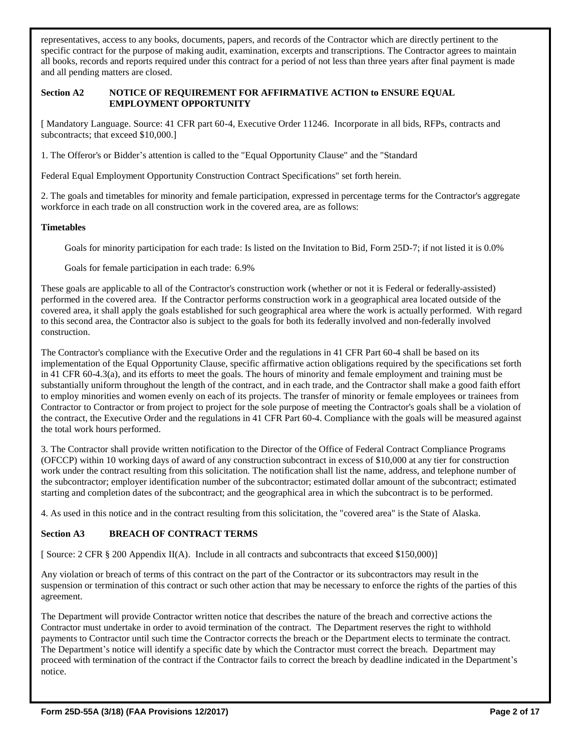representatives, access to any books, documents, papers, and records of the Contractor which are directly pertinent to the specific contract for the purpose of making audit, examination, excerpts and transcriptions. The Contractor agrees to maintain all books, records and reports required under this contract for a period of not less than three years after final payment is made and all pending matters are closed.

#### **Section A2 NOTICE OF REQUIREMENT FOR AFFIRMATIVE ACTION to ENSURE EQUAL EMPLOYMENT OPPORTUNITY**

[ Mandatory Language. Source: 41 CFR part 60-4, Executive Order 11246. Incorporate in all bids, RFPs, contracts and subcontracts; that exceed \$10,000.

1. The Offeror's or Bidder's attention is called to the "Equal Opportunity Clause" and the "Standard

Federal Equal Employment Opportunity Construction Contract Specifications" set forth herein.

2. The goals and timetables for minority and female participation, expressed in percentage terms for the Contractor's aggregate workforce in each trade on all construction work in the covered area, are as follows:

### **Timetables**

Goals for minority participation for each trade: Is listed on the Invitation to Bid, Form 25D-7; if not listed it is 0.0%

Goals for female participation in each trade: 6.9%

These goals are applicable to all of the Contractor's construction work (whether or not it is Federal or federally-assisted) performed in the covered area. If the Contractor performs construction work in a geographical area located outside of the covered area, it shall apply the goals established for such geographical area where the work is actually performed. With regard to this second area, the Contractor also is subject to the goals for both its federally involved and non-federally involved construction.

The Contractor's compliance with the Executive Order and the regulations in 41 CFR Part 60-4 shall be based on its implementation of the Equal Opportunity Clause, specific affirmative action obligations required by the specifications set forth in 41 CFR 60-4.3(a), and its efforts to meet the goals. The hours of minority and female employment and training must be substantially uniform throughout the length of the contract, and in each trade, and the Contractor shall make a good faith effort to employ minorities and women evenly on each of its projects. The transfer of minority or female employees or trainees from Contractor to Contractor or from project to project for the sole purpose of meeting the Contractor's goals shall be a violation of the contract, the Executive Order and the regulations in 41 CFR Part 60-4. Compliance with the goals will be measured against the total work hours performed.

3. The Contractor shall provide written notification to the Director of the Office of Federal Contract Compliance Programs (OFCCP) within 10 working days of award of any construction subcontract in excess of \$10,000 at any tier for construction work under the contract resulting from this solicitation. The notification shall list the name, address, and telephone number of the subcontractor; employer identification number of the subcontractor; estimated dollar amount of the subcontract; estimated starting and completion dates of the subcontract; and the geographical area in which the subcontract is to be performed.

4. As used in this notice and in the contract resulting from this solicitation, the "covered area" is the State of Alaska.

# **Section A3 BREACH OF CONTRACT TERMS**

[ Source: 2 CFR § 200 Appendix II(A). Include in all contracts and subcontracts that exceed \$150,000)]

Any violation or breach of terms of this contract on the part of the Contractor or its subcontractors may result in the suspension or termination of this contract or such other action that may be necessary to enforce the rights of the parties of this agreement.

The Department will provide Contractor written notice that describes the nature of the breach and corrective actions the Contractor must undertake in order to avoid termination of the contract. The Department reserves the right to withhold payments to Contractor until such time the Contractor corrects the breach or the Department elects to terminate the contract. The Department's notice will identify a specific date by which the Contractor must correct the breach. Department may proceed with termination of the contract if the Contractor fails to correct the breach by deadline indicated in the Department's notice.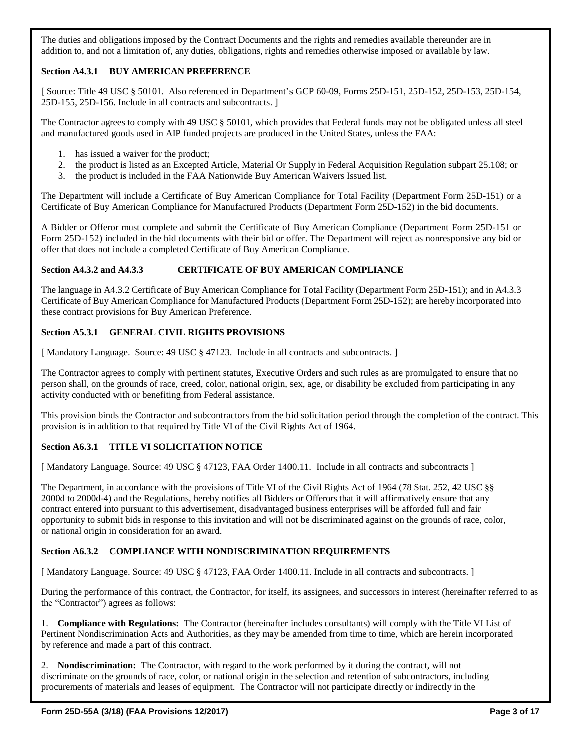The duties and obligations imposed by the Contract Documents and the rights and remedies available thereunder are in addition to, and not a limitation of, any duties, obligations, rights and remedies otherwise imposed or available by law.

# **Section A4.3.1 BUY AMERICAN PREFERENCE**

[ Source: Title 49 USC § 50101. Also referenced in Department's GCP 60-09, Forms 25D-151, 25D-152, 25D-153, 25D-154, 25D-155, 25D-156. Include in all contracts and subcontracts. ]

The Contractor agrees to comply with 49 USC § 50101, which provides that Federal funds may not be obligated unless all steel and manufactured goods used in AIP funded projects are produced in the United States, unless the FAA:

- 1. has issued a waiver for the product;
- 2. the product is listed as an Excepted Article, Material Or Supply in Federal Acquisition Regulation subpart 25.108; or
- 3. the product is included in the FAA Nationwide Buy American Waivers Issued list.

The Department will include a Certificate of Buy American Compliance for Total Facility (Department Form 25D-151) or a Certificate of Buy American Compliance for Manufactured Products (Department Form 25D-152) in the bid documents.

A Bidder or Offeror must complete and submit the Certificate of Buy American Compliance (Department Form 25D-151 or Form 25D-152) included in the bid documents with their bid or offer. The Department will reject as nonresponsive any bid or offer that does not include a completed Certificate of Buy American Compliance.

### **Section A4.3.2 and A4.3.3 CERTIFICATE OF BUY AMERICAN COMPLIANCE**

The language in A4.3.2 Certificate of Buy American Compliance for Total Facility (Department Form 25D-151); and in A4.3.3 Certificate of Buy American Compliance for Manufactured Products (Department Form 25D-152); are hereby incorporated into these contract provisions for Buy American Preference.

### **Section A5.3.1 GENERAL CIVIL RIGHTS PROVISIONS**

[ Mandatory Language. Source: 49 USC § 47123. Include in all contracts and subcontracts. ]

The Contractor agrees to comply with pertinent statutes, Executive Orders and such rules as are promulgated to ensure that no person shall, on the grounds of race, creed, color, national origin, sex, age, or disability be excluded from participating in any activity conducted with or benefiting from Federal assistance.

This provision binds the Contractor and subcontractors from the bid solicitation period through the completion of the contract. This provision is in addition to that required by Title VI of the Civil Rights Act of 1964.

# **Section A6.3.1 TITLE VI SOLICITATION NOTICE**

[ Mandatory Language. Source: 49 USC § 47123, FAA Order 1400.11. Include in all contracts and subcontracts ]

The Department, in accordance with the provisions of Title VI of the Civil Rights Act of 1964 (78 Stat. 252, 42 USC §§ 2000d to 2000d-4) and the Regulations, hereby notifies all Bidders or Offerors that it will affirmatively ensure that any contract entered into pursuant to this advertisement, disadvantaged business enterprises will be afforded full and fair opportunity to submit bids in response to this invitation and will not be discriminated against on the grounds of race, color, or national origin in consideration for an award.

# **Section A6.3.2 COMPLIANCE WITH NONDISCRIMINATION REQUIREMENTS**

[ Mandatory Language. Source: 49 USC § 47123, FAA Order 1400.11. Include in all contracts and subcontracts. ]

During the performance of this contract, the Contractor, for itself, its assignees, and successors in interest (hereinafter referred to as the "Contractor") agrees as follows:

1. **Compliance with Regulations:** The Contractor (hereinafter includes consultants) will comply with the Title VI List of Pertinent Nondiscrimination Acts and Authorities, as they may be amended from time to time, which are herein incorporated by reference and made a part of this contract.

2. **Nondiscrimination:** The Contractor, with regard to the work performed by it during the contract, will not discriminate on the grounds of race, color, or national origin in the selection and retention of subcontractors, including procurements of materials and leases of equipment. The Contractor will not participate directly or indirectly in the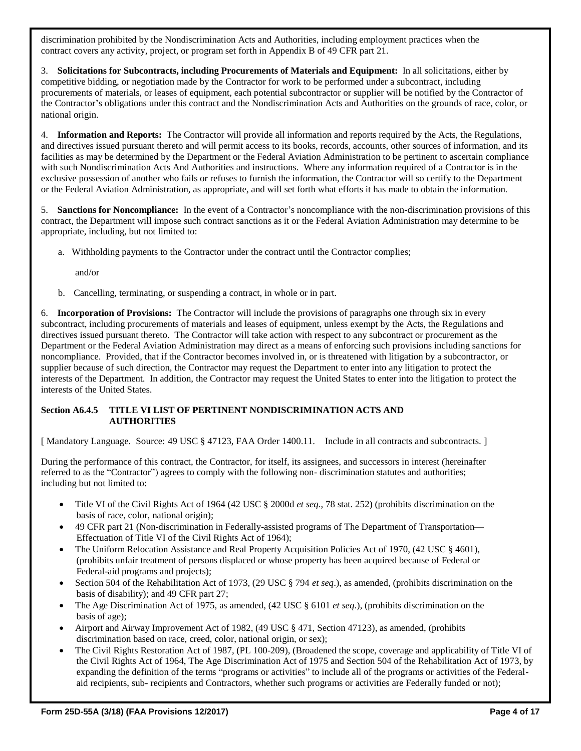discrimination prohibited by the Nondiscrimination Acts and Authorities, including employment practices when the contract covers any activity, project, or program set forth in Appendix B of 49 CFR part 21.

3. **Solicitations for Subcontracts, including Procurements of Materials and Equipment:** In all solicitations, either by competitive bidding, or negotiation made by the Contractor for work to be performed under a subcontract, including procurements of materials, or leases of equipment, each potential subcontractor or supplier will be notified by the Contractor of the Contractor's obligations under this contract and the Nondiscrimination Acts and Authorities on the grounds of race, color, or national origin.

4. **Information and Reports:** The Contractor will provide all information and reports required by the Acts, the Regulations, and directives issued pursuant thereto and will permit access to its books, records, accounts, other sources of information, and its facilities as may be determined by the Department or the Federal Aviation Administration to be pertinent to ascertain compliance with such Nondiscrimination Acts And Authorities and instructions. Where any information required of a Contractor is in the exclusive possession of another who fails or refuses to furnish the information, the Contractor will so certify to the Department or the Federal Aviation Administration, as appropriate, and will set forth what efforts it has made to obtain the information.

5. **Sanctions for Noncompliance:** In the event of a Contractor's noncompliance with the non-discrimination provisions of this contract, the Department will impose such contract sanctions as it or the Federal Aviation Administration may determine to be appropriate, including, but not limited to:

a. Withholding payments to the Contractor under the contract until the Contractor complies;

and/or

b. Cancelling, terminating, or suspending a contract, in whole or in part.

6. **Incorporation of Provisions:** The Contractor will include the provisions of paragraphs one through six in every subcontract, including procurements of materials and leases of equipment, unless exempt by the Acts, the Regulations and directives issued pursuant thereto. The Contractor will take action with respect to any subcontract or procurement as the Department or the Federal Aviation Administration may direct as a means of enforcing such provisions including sanctions for noncompliance. Provided, that if the Contractor becomes involved in, or is threatened with litigation by a subcontractor, or supplier because of such direction, the Contractor may request the Department to enter into any litigation to protect the interests of the Department. In addition, the Contractor may request the United States to enter into the litigation to protect the interests of the United States.

### **Section A6.4.5 TITLE VI LIST OF PERTINENT NONDISCRIMINATION ACTS AND AUTHORITIES**

[ Mandatory Language. Source: 49 USC § 47123, FAA Order 1400.11. Include in all contracts and subcontracts. ]

During the performance of this contract, the Contractor, for itself, its assignees, and successors in interest (hereinafter referred to as the "Contractor") agrees to comply with the following non- discrimination statutes and authorities; including but not limited to:

- Title VI of the Civil Rights Act of 1964 (42 USC § 2000d *et seq*., 78 stat. 252) (prohibits discrimination on the basis of race, color, national origin);
- 49 CFR part 21 (Non-discrimination in Federally-assisted programs of The Department of Transportation— Effectuation of Title VI of the Civil Rights Act of 1964);
- The Uniform Relocation Assistance and Real Property Acquisition Policies Act of 1970, (42 USC § 4601), (prohibits unfair treatment of persons displaced or whose property has been acquired because of Federal or Federal-aid programs and projects);
- Section 504 of the Rehabilitation Act of 1973, (29 USC § 794 *et seq*.), as amended, (prohibits discrimination on the basis of disability); and 49 CFR part 27;
- The Age Discrimination Act of 1975, as amended, (42 USC § 6101 *et seq*.), (prohibits discrimination on the basis of age);
- Airport and Airway Improvement Act of 1982, (49 USC § 471, Section 47123), as amended, (prohibits discrimination based on race, creed, color, national origin, or sex);
- The Civil Rights Restoration Act of 1987, (PL 100-209), (Broadened the scope, coverage and applicability of Title VI of the Civil Rights Act of 1964, The Age Discrimination Act of 1975 and Section 504 of the Rehabilitation Act of 1973, by expanding the definition of the terms "programs or activities" to include all of the programs or activities of the Federalaid recipients, sub- recipients and Contractors, whether such programs or activities are Federally funded or not);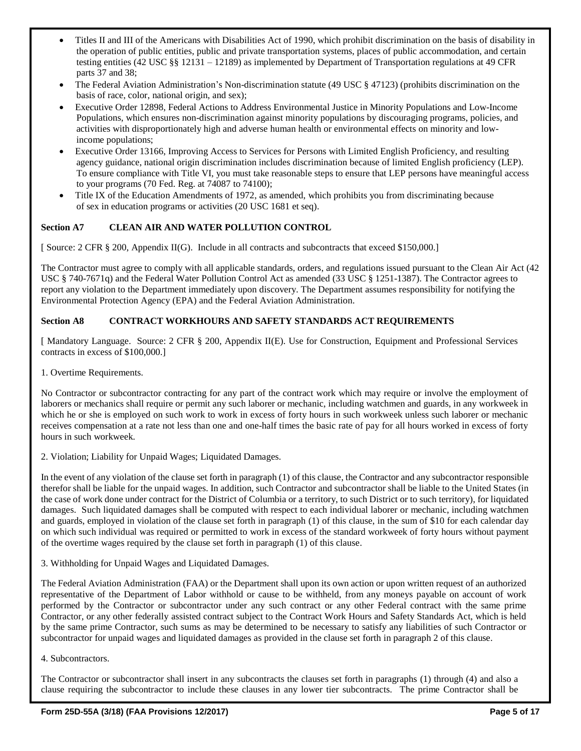- Titles II and III of the Americans with Disabilities Act of 1990, which prohibit discrimination on the basis of disability in the operation of public entities, public and private transportation systems, places of public accommodation, and certain testing entities (42 USC §§ 12131 – 12189) as implemented by Department of Transportation regulations at 49 CFR parts 37 and 38;
- The Federal Aviation Administration's Non-discrimination statute (49 USC § 47123) (prohibits discrimination on the basis of race, color, national origin, and sex);
- Executive Order 12898, Federal Actions to Address Environmental Justice in Minority Populations and Low-Income Populations, which ensures non-discrimination against minority populations by discouraging programs, policies, and activities with disproportionately high and adverse human health or environmental effects on minority and lowincome populations;
- Executive Order 13166, Improving Access to Services for Persons with Limited English Proficiency, and resulting agency guidance, national origin discrimination includes discrimination because of limited English proficiency (LEP). To ensure compliance with Title VI, you must take reasonable steps to ensure that LEP persons have meaningful access to your programs (70 Fed. Reg. at 74087 to 74100);
- Title IX of the Education Amendments of 1972, as amended, which prohibits you from discriminating because of sex in education programs or activities (20 USC 1681 et seq).

# **Section A7 CLEAN AIR AND WATER POLLUTION CONTROL**

[ Source: 2 CFR § 200, Appendix II(G). Include in all contracts and subcontracts that exceed \$150,000.]

The Contractor must agree to comply with all applicable standards, orders, and regulations issued pursuant to the Clean Air Act (42 USC § 740-7671q) and the Federal Water Pollution Control Act as amended (33 USC § 1251-1387). The Contractor agrees to report any violation to the Department immediately upon discovery. The Department assumes responsibility for notifying the Environmental Protection Agency (EPA) and the Federal Aviation Administration.

# **Section A8 CONTRACT WORKHOURS AND SAFETY STANDARDS ACT REQUIREMENTS**

[ Mandatory Language. Source: 2 CFR § 200, Appendix II(E). Use for Construction, Equipment and Professional Services contracts in excess of \$100,000.]

1. Overtime Requirements.

No Contractor or subcontractor contracting for any part of the contract work which may require or involve the employment of laborers or mechanics shall require or permit any such laborer or mechanic, including watchmen and guards, in any workweek in which he or she is employed on such work to work in excess of forty hours in such workweek unless such laborer or mechanic receives compensation at a rate not less than one and one-half times the basic rate of pay for all hours worked in excess of forty hours in such workweek.

2. Violation; Liability for Unpaid Wages; Liquidated Damages.

In the event of any violation of the clause set forth in paragraph (1) of this clause, the Contractor and any subcontractor responsible therefor shall be liable for the unpaid wages. In addition, such Contractor and subcontractor shall be liable to the United States (in the case of work done under contract for the District of Columbia or a territory, to such District or to such territory), for liquidated damages. Such liquidated damages shall be computed with respect to each individual laborer or mechanic, including watchmen and guards, employed in violation of the clause set forth in paragraph (1) of this clause, in the sum of \$10 for each calendar day on which such individual was required or permitted to work in excess of the standard workweek of forty hours without payment of the overtime wages required by the clause set forth in paragraph (1) of this clause.

3. Withholding for Unpaid Wages and Liquidated Damages.

The Federal Aviation Administration (FAA) or the Department shall upon its own action or upon written request of an authorized representative of the Department of Labor withhold or cause to be withheld, from any moneys payable on account of work performed by the Contractor or subcontractor under any such contract or any other Federal contract with the same prime Contractor, or any other federally assisted contract subject to the Contract Work Hours and Safety Standards Act, which is held by the same prime Contractor, such sums as may be determined to be necessary to satisfy any liabilities of such Contractor or subcontractor for unpaid wages and liquidated damages as provided in the clause set forth in paragraph 2 of this clause.

#### 4. Subcontractors.

The Contractor or subcontractor shall insert in any subcontracts the clauses set forth in paragraphs (1) through (4) and also a clause requiring the subcontractor to include these clauses in any lower tier subcontracts. The prime Contractor shall be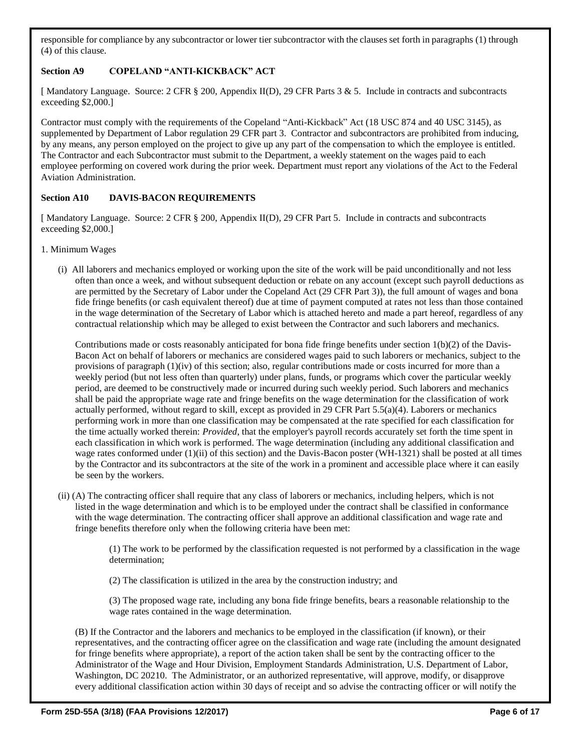responsible for compliance by any subcontractor or lower tier subcontractor with the clauses set forth in paragraphs (1) through (4) of this clause.

# **Section A9 COPELAND "ANTI-KICKBACK" ACT**

[ Mandatory Language. Source: 2 CFR § 200, Appendix II(D), 29 CFR Parts 3 & 5. Include in contracts and subcontracts exceeding \$2,000.]

Contractor must comply with the requirements of the Copeland "Anti-Kickback" Act (18 USC 874 and 40 USC 3145), as supplemented by Department of Labor regulation 29 CFR part 3. Contractor and subcontractors are prohibited from inducing, by any means, any person employed on the project to give up any part of the compensation to which the employee is entitled. The Contractor and each Subcontractor must submit to the Department, a weekly statement on the wages paid to each employee performing on covered work during the prior week. Department must report any violations of the Act to the Federal Aviation Administration.

### **Section A10 DAVIS-BACON REQUIREMENTS**

[ Mandatory Language. Source: 2 CFR § 200, Appendix II(D), 29 CFR Part 5. Include in contracts and subcontracts exceeding \$2,000.]

- 1. Minimum Wages
	- (i) All laborers and mechanics employed or working upon the site of the work will be paid unconditionally and not less often than once a week, and without subsequent deduction or rebate on any account (except such payroll deductions as are permitted by the Secretary of Labor under the Copeland Act (29 CFR Part 3)), the full amount of wages and bona fide fringe benefits (or cash equivalent thereof) due at time of payment computed at rates not less than those contained in the wage determination of the Secretary of Labor which is attached hereto and made a part hereof, regardless of any contractual relationship which may be alleged to exist between the Contractor and such laborers and mechanics.

Contributions made or costs reasonably anticipated for bona fide fringe benefits under section  $1(b)(2)$  of the Davis-Bacon Act on behalf of laborers or mechanics are considered wages paid to such laborers or mechanics, subject to the provisions of paragraph (1)(iv) of this section; also, regular contributions made or costs incurred for more than a weekly period (but not less often than quarterly) under plans, funds, or programs which cover the particular weekly period, are deemed to be constructively made or incurred during such weekly period. Such laborers and mechanics shall be paid the appropriate wage rate and fringe benefits on the wage determination for the classification of work actually performed, without regard to skill, except as provided in 29 CFR Part 5.5(a)(4). Laborers or mechanics performing work in more than one classification may be compensated at the rate specified for each classification for the time actually worked therein: *Provided*, that the employer's payroll records accurately set forth the time spent in each classification in which work is performed. The wage determination (including any additional classification and wage rates conformed under (1)(ii) of this section) and the Davis-Bacon poster (WH-1321) shall be posted at all times by the Contractor and its subcontractors at the site of the work in a prominent and accessible place where it can easily be seen by the workers.

(ii) (A) The contracting officer shall require that any class of laborers or mechanics, including helpers, which is not listed in the wage determination and which is to be employed under the contract shall be classified in conformance with the wage determination. The contracting officer shall approve an additional classification and wage rate and fringe benefits therefore only when the following criteria have been met:

> (1) The work to be performed by the classification requested is not performed by a classification in the wage determination;

(2) The classification is utilized in the area by the construction industry; and

(3) The proposed wage rate, including any bona fide fringe benefits, bears a reasonable relationship to the wage rates contained in the wage determination.

(B) If the Contractor and the laborers and mechanics to be employed in the classification (if known), or their representatives, and the contracting officer agree on the classification and wage rate (including the amount designated for fringe benefits where appropriate), a report of the action taken shall be sent by the contracting officer to the Administrator of the Wage and Hour Division, Employment Standards Administration, U.S. Department of Labor, Washington, DC 20210. The Administrator, or an authorized representative, will approve, modify, or disapprove every additional classification action within 30 days of receipt and so advise the contracting officer or will notify the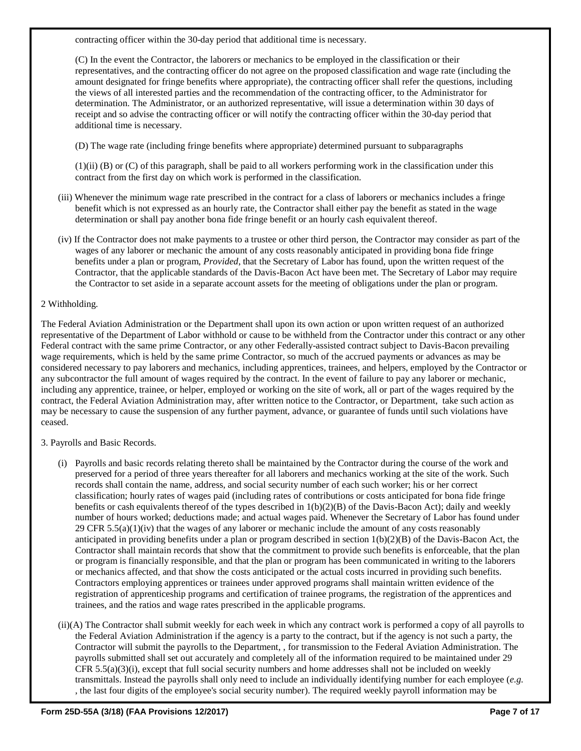contracting officer within the 30-day period that additional time is necessary.

(C) In the event the Contractor, the laborers or mechanics to be employed in the classification or their representatives, and the contracting officer do not agree on the proposed classification and wage rate (including the amount designated for fringe benefits where appropriate), the contracting officer shall refer the questions, including the views of all interested parties and the recommendation of the contracting officer, to the Administrator for determination. The Administrator, or an authorized representative, will issue a determination within 30 days of receipt and so advise the contracting officer or will notify the contracting officer within the 30-day period that additional time is necessary.

(D) The wage rate (including fringe benefits where appropriate) determined pursuant to subparagraphs

(1)(ii) (B) or (C) of this paragraph, shall be paid to all workers performing work in the classification under this contract from the first day on which work is performed in the classification.

- (iii) Whenever the minimum wage rate prescribed in the contract for a class of laborers or mechanics includes a fringe benefit which is not expressed as an hourly rate, the Contractor shall either pay the benefit as stated in the wage determination or shall pay another bona fide fringe benefit or an hourly cash equivalent thereof.
- (iv) If the Contractor does not make payments to a trustee or other third person, the Contractor may consider as part of the wages of any laborer or mechanic the amount of any costs reasonably anticipated in providing bona fide fringe benefits under a plan or program, *Provided*, that the Secretary of Labor has found, upon the written request of the Contractor, that the applicable standards of the Davis-Bacon Act have been met. The Secretary of Labor may require the Contractor to set aside in a separate account assets for the meeting of obligations under the plan or program.

#### 2 Withholding.

The Federal Aviation Administration or the Department shall upon its own action or upon written request of an authorized representative of the Department of Labor withhold or cause to be withheld from the Contractor under this contract or any other Federal contract with the same prime Contractor, or any other Federally-assisted contract subject to Davis-Bacon prevailing wage requirements, which is held by the same prime Contractor, so much of the accrued payments or advances as may be considered necessary to pay laborers and mechanics, including apprentices, trainees, and helpers, employed by the Contractor or any subcontractor the full amount of wages required by the contract. In the event of failure to pay any laborer or mechanic, including any apprentice, trainee, or helper, employed or working on the site of work, all or part of the wages required by the contract, the Federal Aviation Administration may, after written notice to the Contractor, or Department, take such action as may be necessary to cause the suspension of any further payment, advance, or guarantee of funds until such violations have ceased.

3. Payrolls and Basic Records.

- (i) Payrolls and basic records relating thereto shall be maintained by the Contractor during the course of the work and preserved for a period of three years thereafter for all laborers and mechanics working at the site of the work. Such records shall contain the name, address, and social security number of each such worker; his or her correct classification; hourly rates of wages paid (including rates of contributions or costs anticipated for bona fide fringe benefits or cash equivalents thereof of the types described in 1(b)(2)(B) of the Davis-Bacon Act); daily and weekly number of hours worked; deductions made; and actual wages paid. Whenever the Secretary of Labor has found under 29 CFR 5.5(a)(1)(iv) that the wages of any laborer or mechanic include the amount of any costs reasonably anticipated in providing benefits under a plan or program described in section  $1(b)(2)(B)$  of the Davis-Bacon Act, the Contractor shall maintain records that show that the commitment to provide such benefits is enforceable, that the plan or program is financially responsible, and that the plan or program has been communicated in writing to the laborers or mechanics affected, and that show the costs anticipated or the actual costs incurred in providing such benefits. Contractors employing apprentices or trainees under approved programs shall maintain written evidence of the registration of apprenticeship programs and certification of trainee programs, the registration of the apprentices and trainees, and the ratios and wage rates prescribed in the applicable programs.
- (ii)(A) The Contractor shall submit weekly for each week in which any contract work is performed a copy of all payrolls to the Federal Aviation Administration if the agency is a party to the contract, but if the agency is not such a party, the Contractor will submit the payrolls to the Department, , for transmission to the Federal Aviation Administration. The payrolls submitted shall set out accurately and completely all of the information required to be maintained under 29  $CFR 5.5(a)(3)(i)$ , except that full social security numbers and home addresses shall not be included on weekly transmittals. Instead the payrolls shall only need to include an individually identifying number for each employee (*e.g.* , the last four digits of the employee's social security number). The required weekly payroll information may be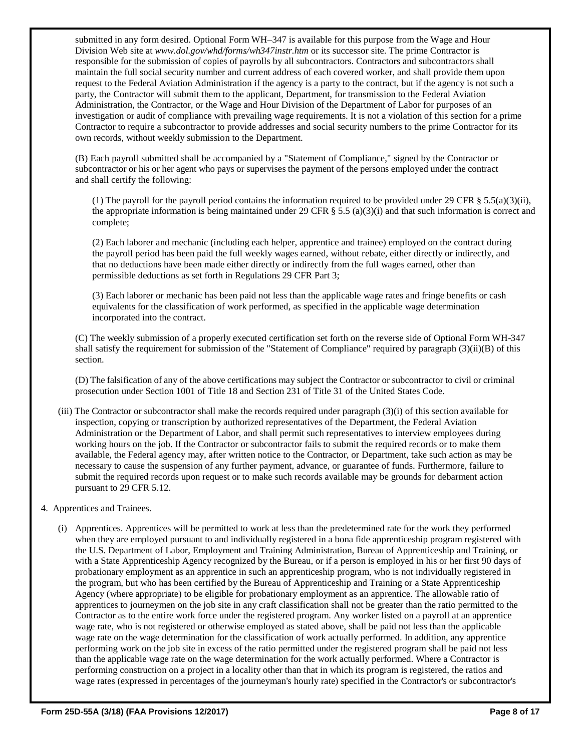submitted in any form desired. Optional Form WH–347 is available for this purpose from the Wage and Hour Division Web site at *[www.dol.gov/whd/forms/wh347instr.htm](http://www.dol.gov/esa/whd/forms/wh347instr.htm)* or its successor site. The prime Contractor is responsible for the submission of copies of payrolls by all subcontractors. Contractors and subcontractors shall maintain the full social security number and current address of each covered worker, and shall provide them upon request to the Federal Aviation Administration if the agency is a party to the contract, but if the agency is not such a party, the Contractor will submit them to the applicant, Department, for transmission to the Federal Aviation Administration, the Contractor, or the Wage and Hour Division of the Department of Labor for purposes of an investigation or audit of compliance with prevailing wage requirements. It is not a violation of this section for a prime Contractor to require a subcontractor to provide addresses and social security numbers to the prime Contractor for its own records, without weekly submission to the Department.

(B) Each payroll submitted shall be accompanied by a "Statement of Compliance," signed by the Contractor or subcontractor or his or her agent who pays or supervises the payment of the persons employed under the contract and shall certify the following:

(1) The payroll for the payroll period contains the information required to be provided under 29 CFR  $\S$  5.5(a)(3)(ii), the appropriate information is being maintained under 29 CFR  $\S$  5.5 (a)(3)(i) and that such information is correct and complete;

(2) Each laborer and mechanic (including each helper, apprentice and trainee) employed on the contract during the payroll period has been paid the full weekly wages earned, without rebate, either directly or indirectly, and that no deductions have been made either directly or indirectly from the full wages earned, other than permissible deductions as set forth in Regulations 29 CFR Part 3;

(3) Each laborer or mechanic has been paid not less than the applicable wage rates and fringe benefits or cash equivalents for the classification of work performed, as specified in the applicable wage determination incorporated into the contract.

(C) The weekly submission of a properly executed certification set forth on the reverse side of Optional Form WH-347 shall satisfy the requirement for submission of the "Statement of Compliance" required by paragraph (3)(ii)(B) of this section.

(D) The falsification of any of the above certifications may subject the Contractor or subcontractor to civil or criminal prosecution under Section 1001 of Title 18 and Section 231 of Title 31 of the United States Code.

- (iii) The Contractor or subcontractor shall make the records required under paragraph (3)(i) of this section available for inspection, copying or transcription by authorized representatives of the Department, the Federal Aviation Administration or the Department of Labor, and shall permit such representatives to interview employees during working hours on the job. If the Contractor or subcontractor fails to submit the required records or to make them available, the Federal agency may, after written notice to the Contractor, or Department, take such action as may be necessary to cause the suspension of any further payment, advance, or guarantee of funds. Furthermore, failure to submit the required records upon request or to make such records available may be grounds for debarment action pursuant to 29 CFR 5.12.
- 4. Apprentices and Trainees.
	- (i) Apprentices. Apprentices will be permitted to work at less than the predetermined rate for the work they performed when they are employed pursuant to and individually registered in a bona fide apprenticeship program registered with the U.S. Department of Labor, Employment and Training Administration, Bureau of Apprenticeship and Training, or with a State Apprenticeship Agency recognized by the Bureau, or if a person is employed in his or her first 90 days of probationary employment as an apprentice in such an apprenticeship program, who is not individually registered in the program, but who has been certified by the Bureau of Apprenticeship and Training or a State Apprenticeship Agency (where appropriate) to be eligible for probationary employment as an apprentice. The allowable ratio of apprentices to journeymen on the job site in any craft classification shall not be greater than the ratio permitted to the Contractor as to the entire work force under the registered program. Any worker listed on a payroll at an apprentice wage rate, who is not registered or otherwise employed as stated above, shall be paid not less than the applicable wage rate on the wage determination for the classification of work actually performed. In addition, any apprentice performing work on the job site in excess of the ratio permitted under the registered program shall be paid not less than the applicable wage rate on the wage determination for the work actually performed. Where a Contractor is performing construction on a project in a locality other than that in which its program is registered, the ratios and wage rates (expressed in percentages of the journeyman's hourly rate) specified in the Contractor's or subcontractor's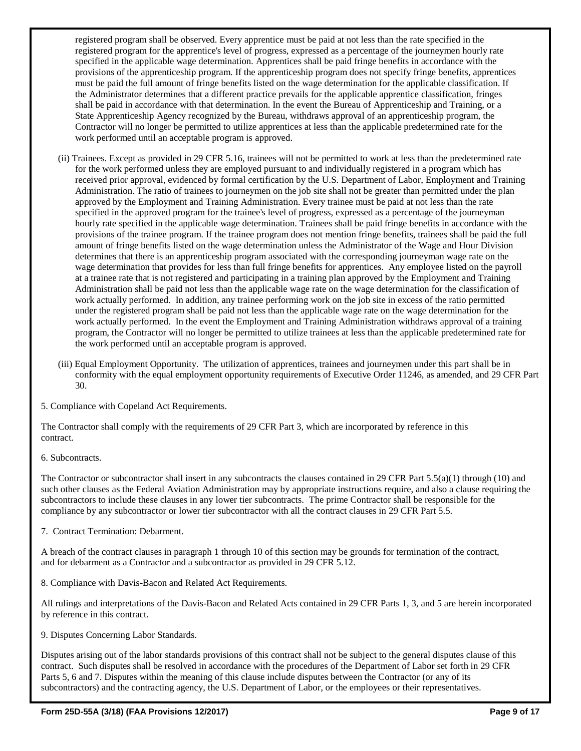registered program shall be observed. Every apprentice must be paid at not less than the rate specified in the registered program for the apprentice's level of progress, expressed as a percentage of the journeymen hourly rate specified in the applicable wage determination. Apprentices shall be paid fringe benefits in accordance with the provisions of the apprenticeship program. If the apprenticeship program does not specify fringe benefits, apprentices must be paid the full amount of fringe benefits listed on the wage determination for the applicable classification. If the Administrator determines that a different practice prevails for the applicable apprentice classification, fringes shall be paid in accordance with that determination. In the event the Bureau of Apprenticeship and Training, or a State Apprenticeship Agency recognized by the Bureau, withdraws approval of an apprenticeship program, the Contractor will no longer be permitted to utilize apprentices at less than the applicable predetermined rate for the work performed until an acceptable program is approved.

- (ii) Trainees. Except as provided in 29 CFR 5.16, trainees will not be permitted to work at less than the predetermined rate for the work performed unless they are employed pursuant to and individually registered in a program which has received prior approval, evidenced by formal certification by the U.S. Department of Labor, Employment and Training Administration. The ratio of trainees to journeymen on the job site shall not be greater than permitted under the plan approved by the Employment and Training Administration. Every trainee must be paid at not less than the rate specified in the approved program for the trainee's level of progress, expressed as a percentage of the journeyman hourly rate specified in the applicable wage determination. Trainees shall be paid fringe benefits in accordance with the provisions of the trainee program. If the trainee program does not mention fringe benefits, trainees shall be paid the full amount of fringe benefits listed on the wage determination unless the Administrator of the Wage and Hour Division determines that there is an apprenticeship program associated with the corresponding journeyman wage rate on the wage determination that provides for less than full fringe benefits for apprentices. Any employee listed on the payroll at a trainee rate that is not registered and participating in a training plan approved by the Employment and Training Administration shall be paid not less than the applicable wage rate on the wage determination for the classification of work actually performed. In addition, any trainee performing work on the job site in excess of the ratio permitted under the registered program shall be paid not less than the applicable wage rate on the wage determination for the work actually performed. In the event the Employment and Training Administration withdraws approval of a training program, the Contractor will no longer be permitted to utilize trainees at less than the applicable predetermined rate for the work performed until an acceptable program is approved.
- (iii) Equal Employment Opportunity. The utilization of apprentices, trainees and journeymen under this part shall be in conformity with the equal employment opportunity requirements of Executive Order 11246, as amended, and 29 CFR Part 30.

5. Compliance with Copeland Act Requirements.

The Contractor shall comply with the requirements of 29 CFR Part 3, which are incorporated by reference in this contract.

6. Subcontracts.

The Contractor or subcontractor shall insert in any subcontracts the clauses contained in 29 CFR Part 5.5(a)(1) through (10) and such other clauses as the Federal Aviation Administration may by appropriate instructions require, and also a clause requiring the subcontractors to include these clauses in any lower tier subcontracts. The prime Contractor shall be responsible for the compliance by any subcontractor or lower tier subcontractor with all the contract clauses in 29 CFR Part 5.5.

7. Contract Termination: Debarment.

A breach of the contract clauses in paragraph 1 through 10 of this section may be grounds for termination of the contract, and for debarment as a Contractor and a subcontractor as provided in 29 CFR 5.12.

8. Compliance with Davis-Bacon and Related Act Requirements.

All rulings and interpretations of the Davis-Bacon and Related Acts contained in 29 CFR Parts 1, 3, and 5 are herein incorporated by reference in this contract.

9. Disputes Concerning Labor Standards.

Disputes arising out of the labor standards provisions of this contract shall not be subject to the general disputes clause of this contract. Such disputes shall be resolved in accordance with the procedures of the Department of Labor set forth in 29 CFR Parts 5, 6 and 7. Disputes within the meaning of this clause include disputes between the Contractor (or any of its subcontractors) and the contracting agency, the U.S. Department of Labor, or the employees or their representatives.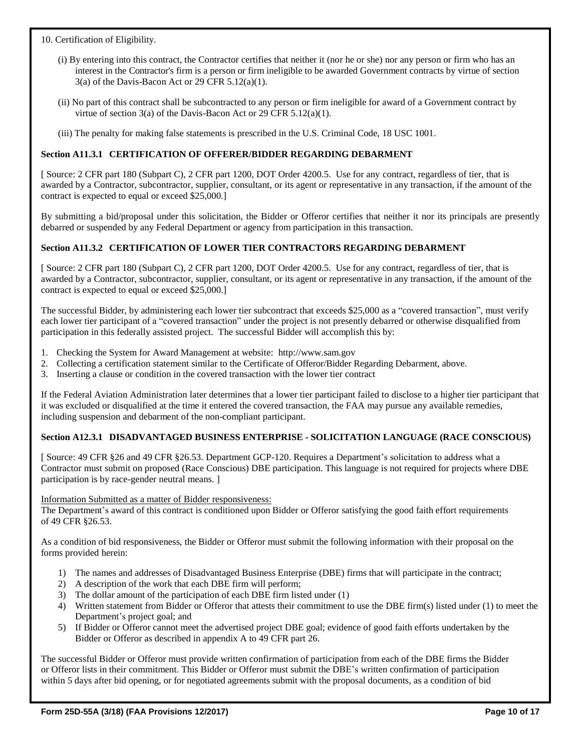### 10. Certification of Eligibility.

- (i) By entering into this contract, the Contractor certifies that neither it (nor he or she) nor any person or firm who has an interest in the Contractor's firm is a person or firm ineligible to be awarded Government contracts by virtue of section  $3(a)$  of the Davis-Bacon Act or 29 CFR  $5.12(a)(1)$ .
- (ii) No part of this contract shall be subcontracted to any person or firm ineligible for award of a Government contract by virtue of section 3(a) of the Davis-Bacon Act or 29 CFR 5.12(a)(1).
- (iii) The penalty for making false statements is prescribed in the U.S. Criminal Code, 18 USC 1001.

### **Section A11.3.1 CERTIFICATION OF OFFERER/BIDDER REGARDING DEBARMENT**

[ Source: 2 CFR part 180 (Subpart C), 2 CFR part 1200, DOT Order 4200.5. Use for any contract, regardless of tier, that is awarded by a Contractor, subcontractor, supplier, consultant, or its agent or representative in any transaction, if the amount of the contract is expected to equal or exceed \$25,000.]

By submitting a bid/proposal under this solicitation, the Bidder or Offeror certifies that neither it nor its principals are presently debarred or suspended by any Federal Department or agency from participation in this transaction.

### **Section A11.3.2 CERTIFICATION OF LOWER TIER CONTRACTORS REGARDING DEBARMENT**

[ Source: 2 CFR part 180 (Subpart C), 2 CFR part 1200, DOT Order 4200.5. Use for any contract, regardless of tier, that is awarded by a Contractor, subcontractor, supplier, consultant, or its agent or representative in any transaction, if the amount of the contract is expected to equal or exceed \$25,000.]

The successful Bidder, by administering each lower tier subcontract that exceeds \$25,000 as a "covered transaction", must verify each lower tier participant of a "covered transaction" under the project is not presently debarred or otherwise disqualified from participation in this federally assisted project. The successful Bidder will accomplish this by:

- 1. Checking the System for Award Management at website: [http://www.sam.gov](http://www.sam.gov/)
- 2. Collecting a certification statement similar to the Certificate of Offeror/Bidder Regarding Debarment, above.
- 3. Inserting a clause or condition in the covered transaction with the lower tier contract

If the Federal Aviation Administration later determines that a lower tier participant failed to disclose to a higher tier participant that it was excluded or disqualified at the time it entered the covered transaction, the FAA may pursue any available remedies, including suspension and debarment of the non-compliant participant.

#### **Section A12.3.1 DISADVANTAGED BUSINESS ENTERPRISE - SOLICITATION LANGUAGE (RACE CONSCIOUS)**

[ Source: 49 CFR §26 and 49 CFR §26.53. Department GCP-120. Requires a Department's solicitation to address what a Contractor must submit on proposed (Race Conscious) DBE participation. This language is not required for projects where DBE participation is by race-gender neutral means. ]

Information Submitted as a matter of Bidder responsiveness:

The Department's award of this contract is conditioned upon Bidder or Offeror satisfying the good faith effort requirements of 49 CFR §26.53.

As a condition of bid responsiveness, the Bidder or Offeror must submit the following information with their proposal on the forms provided herein:

- 1) The names and addresses of Disadvantaged Business Enterprise (DBE) firms that will participate in the contract;
- 2) A description of the work that each DBE firm will perform;
- 3) The dollar amount of the participation of each DBE firm listed under (1)
- 4) Written statement from Bidder or Offeror that attests their commitment to use the DBE firm(s) listed under (1) to meet the Department's project goal; and
- 5) If Bidder or Offeror cannot meet the advertised project DBE goal; evidence of good faith efforts undertaken by the Bidder or Offeror as described in appendix A to 49 CFR part 26.

The successful Bidder or Offeror must provide written confirmation of participation from each of the DBE firms the Bidder or Offeror lists in their commitment. This Bidder or Offeror must submit the DBE's written confirmation of participation within 5 days after bid opening, or for negotiated agreements submit with the proposal documents, as a condition of bid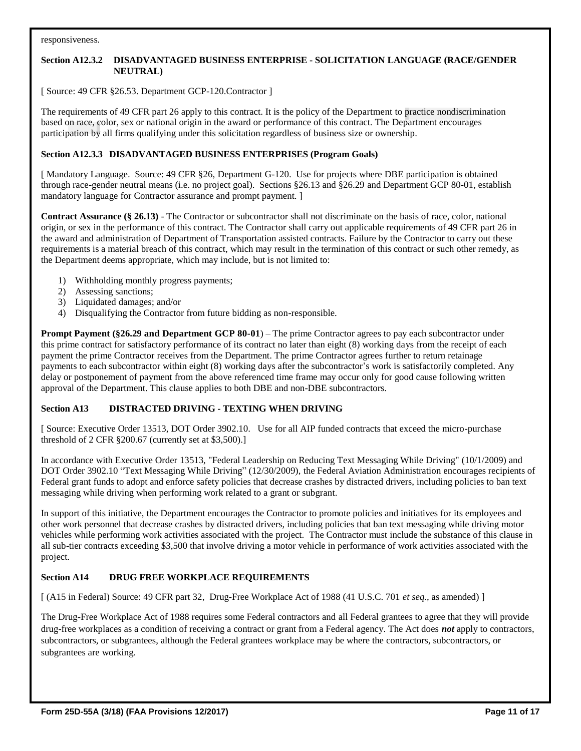#### responsiveness.

### **Section A12.3.2 DISADVANTAGED BUSINESS ENTERPRISE - SOLICITATION LANGUAGE (RACE/GENDER NEUTRAL)**

[ Source: 49 CFR §26.53. Department GCP-120.Contractor ]

The requirements of 49 CFR part 26 apply to this contract. It is the policy of the Department to practice nondiscrimination based on race, color, sex or national origin in the award or performance of this contract. The Department encourages participation by all firms qualifying under this solicitation regardless of business size or ownership.

### **Section A12.3.3 DISADVANTAGED BUSINESS ENTERPRISES (Program Goals)**

[ Mandatory Language. Source: 49 CFR §26, Department G-120. Use for projects where DBE participation is obtained through race-gender neutral means (i.e. no project goal). Sections §26.13 and §26.29 and Department GCP 80-01, establish mandatory language for Contractor assurance and prompt payment. ]

**Contract Assurance (§ 26.13)** - The Contractor or subcontractor shall not discriminate on the basis of race, color, national origin, or sex in the performance of this contract. The Contractor shall carry out applicable requirements of 49 CFR part 26 in the award and administration of Department of Transportation assisted contracts. Failure by the Contractor to carry out these requirements is a material breach of this contract, which may result in the termination of this contract or such other remedy, as the Department deems appropriate, which may include, but is not limited to:

- 1) Withholding monthly progress payments;
- 2) Assessing sanctions;
- 3) Liquidated damages; and/or
- 4) Disqualifying the Contractor from future bidding as non-responsible.

**Prompt Payment (§26.29 and Department GCP 80-01**) – The prime Contractor agrees to pay each subcontractor under this prime contract for satisfactory performance of its contract no later than eight (8) working days from the receipt of each payment the prime Contractor receives from the Department. The prime Contractor agrees further to return retainage payments to each subcontractor within eight (8) working days after the subcontractor's work is satisfactorily completed. Any delay or postponement of payment from the above referenced time frame may occur only for good cause following written approval of the Department. This clause applies to both DBE and non-DBE subcontractors.

#### **Section A13 DISTRACTED DRIVING - TEXTING WHEN DRIVING**

[ Source: Executive Order 13513, DOT Order 3902.10. Use for all AIP funded contracts that exceed the micro-purchase threshold of 2 CFR §200.67 (currently set at \$3,500).]

In accordance with Executive Order 13513, "Federal Leadership on Reducing Text Messaging While Driving" (10/1/2009) and DOT Order 3902.10 "Text Messaging While Driving" (12/30/2009), the Federal Aviation Administration encourages recipients of Federal grant funds to adopt and enforce safety policies that decrease crashes by distracted drivers, including policies to ban text messaging while driving when performing work related to a grant or subgrant.

In support of this initiative, the Department encourages the Contractor to promote policies and initiatives for its employees and other work personnel that decrease crashes by distracted drivers, including policies that ban text messaging while driving motor vehicles while performing work activities associated with the project. The Contractor must include the substance of this clause in all sub-tier contracts exceeding \$3,500 that involve driving a motor vehicle in performance of work activities associated with the project.

# **Section A14 DRUG FREE WORKPLACE REQUIREMENTS**

[ (A15 in Federal) Source: 49 CFR part 32, Drug-Free Workplace Act of 1988 (41 U.S.C. 701 *et seq.*, as amended) ]

The Drug-Free Workplace Act of 1988 requires some Federal contractors and all Federal grantees to agree that they will provide drug-free workplaces as a condition of receiving a contract or grant from a Federal agency. The Act does *not* apply to contractors, subcontractors, or subgrantees, although the Federal grantees workplace may be where the contractors, subcontractors, or subgrantees are working.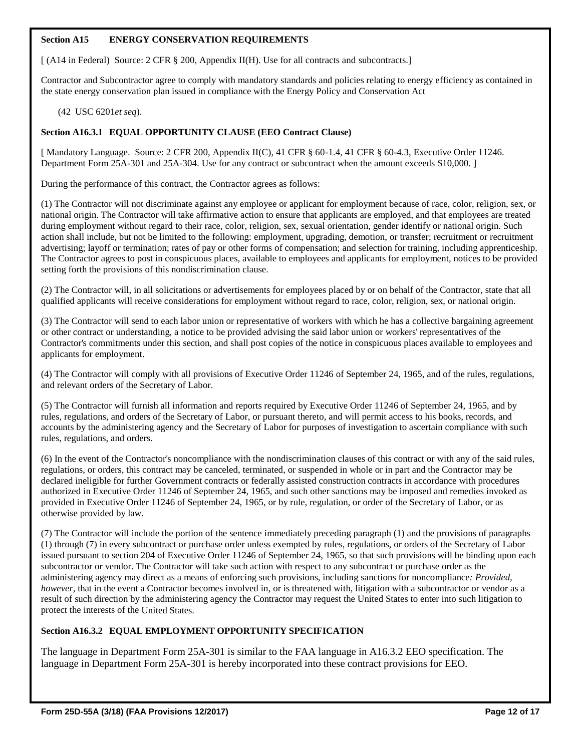### **Section A15 ENERGY CONSERVATION REQUIREMENTS**

[ (A14 in Federal) Source: 2 CFR § 200, Appendix II(H). Use for all contracts and subcontracts.]

Contractor and Subcontractor agree to comply with mandatory standards and policies relating to energy efficiency as contained in the state energy conservation plan issued in compliance with the Energy Policy and Conservation Act

(42 USC 6201*et seq*).

### **Section A16.3.1 EQUAL OPPORTUNITY CLAUSE (EEO Contract Clause)**

[ Mandatory Language. Source: 2 CFR 200, Appendix II(C), 41 CFR § 60-1.4, 41 CFR § 60-4.3, Executive Order 11246. Department Form 25A-301 and 25A-304. Use for any contract or subcontract when the amount exceeds \$10,000. ]

During the performance of this contract, the Contractor agrees as follows:

(1) The Contractor will not discriminate against any employee or applicant for employment because of race, color, religion, sex, or national origin. The Contractor will take affirmative action to ensure that applicants are employed, and that employees are treated during employment without regard to their race, color, religion, sex, sexual orientation, gender identify or national origin. Such action shall include, but not be limited to the following: employment, upgrading, demotion, or transfer; recruitment or recruitment advertising; layoff or termination; rates of pay or other forms of compensation; and selection for training, including apprenticeship. The Contractor agrees to post in conspicuous places, available to employees and applicants for employment, notices to be provided setting forth the provisions of this nondiscrimination clause.

(2) The Contractor will, in all solicitations or advertisements for employees placed by or on behalf of the Contractor, state that all qualified applicants will receive considerations for employment without regard to race, color, religion, sex, or national origin.

(3) The Contractor will send to each labor union or representative of workers with which he has a collective bargaining agreement or other contract or understanding, a notice to be provided advising the said labor union or workers' representatives of the Contractor's commitments under this section, and shall post copies of the notice in conspicuous places available to employees and applicants for employment.

(4) The Contractor will comply with all provisions of Executive Order 11246 of September 24, 1965, and of the rules, regulations, and relevant orders of the Secretary of Labor.

(5) The Contractor will furnish all information and reports required by Executive Order 11246 of September 24, 1965, and by rules, regulations, and orders of the Secretary of Labor, or pursuant thereto, and will permit access to his books, records, and accounts by the administering agency and the Secretary of Labor for purposes of investigation to ascertain compliance with such rules, regulations, and orders.

(6) In the event of the Contractor's noncompliance with the nondiscrimination clauses of this contract or with any of the said rules, regulations, or orders, this contract may be canceled, terminated, or suspended in whole or in part and the Contractor may be declared ineligible for further Government contracts or federally assisted construction contracts in accordance with procedures authorized in Executive Order 11246 of September 24, 1965, and such other sanctions may be imposed and remedies invoked as provided in Executive Order 11246 of September 24, 1965, or by rule, regulation, or order of the Secretary of Labor, or as otherwise provided by law.

(7) The Contractor will include the portion of the sentence immediately preceding paragraph (1) and the provisions of paragraphs (1) through (7) in every subcontract or purchase order unless exempted by rules, regulations, or orders of the Secretary of Labor issued pursuant to section 204 of Executive Order 11246 of September 24, 1965, so that such provisions will be binding upon each subcontractor or vendor. The Contractor will take such action with respect to any subcontract or purchase order as the administering agency may direct as a means of enforcing such provisions, including sanctions for noncompliance*: Provided, however*, that in the event a Contractor becomes involved in, or is threatened with, litigation with a subcontractor or vendor as a result of such direction by the administering agency the Contractor may request the United States to enter into such litigation to protect the interests of the United States.

# **Section A16.3.2 EQUAL EMPLOYMENT OPPORTUNITY SPECIFICATION**

The language in Department Form 25A-301 is similar to the FAA language in A16.3.2 EEO specification. The language in Department Form 25A-301 is hereby incorporated into these contract provisions for EEO.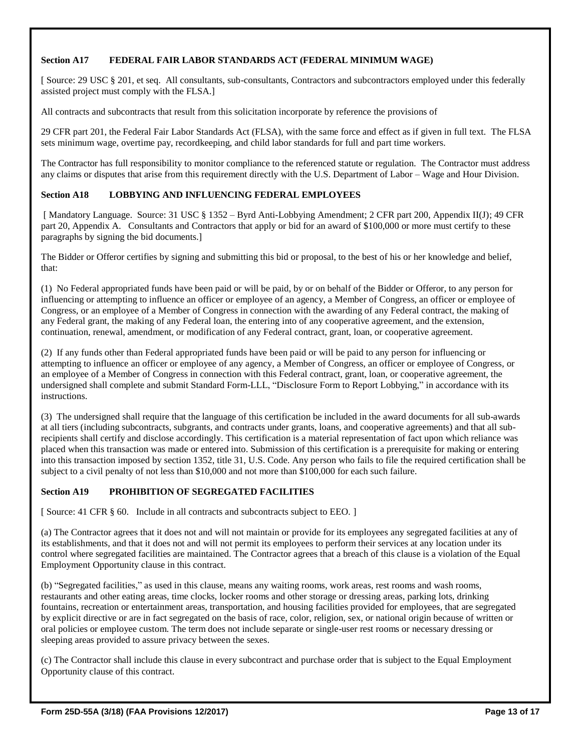# **Section A17 FEDERAL FAIR LABOR STANDARDS ACT (FEDERAL MINIMUM WAGE)**

[ Source: 29 USC § 201, et seq. All consultants, sub-consultants, Contractors and subcontractors employed under this federally assisted project must comply with the FLSA.]

All contracts and subcontracts that result from this solicitation incorporate by reference the provisions of

29 CFR part 201, the Federal Fair Labor Standards Act (FLSA), with the same force and effect as if given in full text. The FLSA sets minimum wage, overtime pay, recordkeeping, and child labor standards for full and part time workers.

The Contractor has full responsibility to monitor compliance to the referenced statute or regulation. The Contractor must address any claims or disputes that arise from this requirement directly with the U.S. Department of Labor – Wage and Hour Division.

#### **Section A18 LOBBYING AND INFLUENCING FEDERAL EMPLOYEES**

[ Mandatory Language. Source: 31 USC § 1352 – Byrd Anti-Lobbying Amendment; 2 CFR part 200, Appendix II(J); 49 CFR part 20, Appendix A. Consultants and Contractors that apply or bid for an award of \$100,000 or more must certify to these paragraphs by signing the bid documents.]

The Bidder or Offeror certifies by signing and submitting this bid or proposal, to the best of his or her knowledge and belief, that:

(1) No Federal appropriated funds have been paid or will be paid, by or on behalf of the Bidder or Offeror, to any person for influencing or attempting to influence an officer or employee of an agency, a Member of Congress, an officer or employee of Congress, or an employee of a Member of Congress in connection with the awarding of any Federal contract, the making of any Federal grant, the making of any Federal loan, the entering into of any cooperative agreement, and the extension, continuation, renewal, amendment, or modification of any Federal contract, grant, loan, or cooperative agreement.

(2) If any funds other than Federal appropriated funds have been paid or will be paid to any person for influencing or attempting to influence an officer or employee of any agency, a Member of Congress, an officer or employee of Congress, or an employee of a Member of Congress in connection with this Federal contract, grant, loan, or cooperative agreement, the undersigned shall complete and submit Standard Form-LLL, "Disclosure Form to Report Lobbying," in accordance with its instructions.

(3) The undersigned shall require that the language of this certification be included in the award documents for all sub-awards at all tiers (including subcontracts, subgrants, and contracts under grants, loans, and cooperative agreements) and that all subrecipients shall certify and disclose accordingly. This certification is a material representation of fact upon which reliance was placed when this transaction was made or entered into. Submission of this certification is a prerequisite for making or entering into this transaction imposed by section 1352, title 31, U.S. Code. Any person who fails to file the required certification shall be subject to a civil penalty of not less than \$10,000 and not more than \$100,000 for each such failure.

### **Section A19 PROHIBITION OF SEGREGATED FACILITIES**

[ Source: 41 CFR  $\S$  60. Include in all contracts and subcontracts subject to EEO. ]

(a) The Contractor agrees that it does not and will not maintain or provide for its employees any segregated facilities at any of its establishments, and that it does not and will not permit its employees to perform their services at any location under its control where segregated facilities are maintained. The Contractor agrees that a breach of this clause is a violation of the Equal Employment Opportunity clause in this contract.

(b) "Segregated facilities," as used in this clause, means any waiting rooms, work areas, rest rooms and wash rooms, restaurants and other eating areas, time clocks, locker rooms and other storage or dressing areas, parking lots, drinking fountains, recreation or entertainment areas, transportation, and housing facilities provided for employees, that are segregated by explicit directive or are in fact segregated on the basis of race, color, religion, sex, or national origin because of written or oral policies or employee custom. The term does not include separate or single-user rest rooms or necessary dressing or sleeping areas provided to assure privacy between the sexes.

(c) The Contractor shall include this clause in every subcontract and purchase order that is subject to the Equal Employment Opportunity clause of this contract.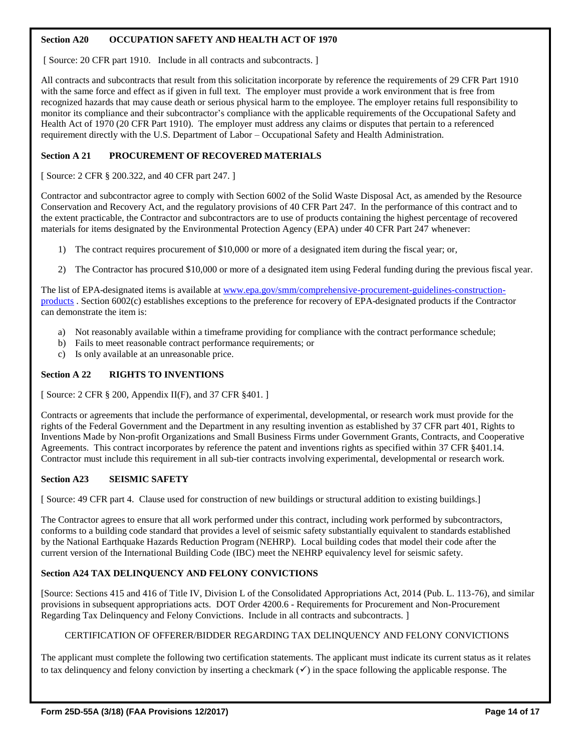# **Section A20 OCCUPATION SAFETY AND HEALTH ACT OF 1970**

[ Source: 20 CFR part 1910. Include in all contracts and subcontracts. ]

All contracts and subcontracts that result from this solicitation incorporate by reference the requirements of 29 CFR Part 1910 with the same force and effect as if given in full text. The employer must provide a work environment that is free from recognized hazards that may cause death or serious physical harm to the employee. The employer retains full responsibility to monitor its compliance and their subcontractor's compliance with the applicable requirements of the Occupational Safety and Health Act of 1970 (20 CFR Part 1910). The employer must address any claims or disputes that pertain to a referenced requirement directly with the U.S. Department of Labor – Occupational Safety and Health Administration.

# **Section A 21 PROCUREMENT OF RECOVERED MATERIALS**

[ Source: 2 CFR § 200.322, and 40 CFR part 247. ]

Contractor and subcontractor agree to comply with Section 6002 of the Solid Waste Disposal Act, as amended by the Resource Conservation and Recovery Act, and the regulatory provisions of 40 CFR Part 247. In the performance of this contract and to the extent practicable, the Contractor and subcontractors are to use of products containing the highest percentage of recovered materials for items designated by the Environmental Protection Agency (EPA) under 40 CFR Part 247 whenever:

- 1) The contract requires procurement of \$10,000 or more of a designated item during the fiscal year; or,
- 2) The Contractor has procured \$10,000 or more of a designated item using Federal funding during the previous fiscal year.

The list of EPA-designated items is available at [www.epa.gov/smm/comprehensive-procurement-guidelines-construction](http://www.epa.gov/smm/comprehensive-procurement-guidelines-construction-products)[products](http://www.epa.gov/smm/comprehensive-procurement-guidelines-construction-products) . Section 6002(c) establishes exceptions to the preference for recovery of EPA-designated products if the Contractor can demonstrate the item is:

- a) Not reasonably available within a timeframe providing for compliance with the contract performance schedule;
- b) Fails to meet reasonable contract performance requirements; or
- c) Is only available at an unreasonable price.

### **Section A 22 RIGHTS TO INVENTIONS**

[ Source: 2 CFR § 200, Appendix II(F), and 37 CFR §401. ]

Contracts or agreements that include the performance of experimental, developmental, or research work must provide for the rights of the Federal Government and the Department in any resulting invention as established by 37 CFR part 401, Rights to Inventions Made by Non-profit Organizations and Small Business Firms under Government Grants, Contracts, and Cooperative Agreements. This contract incorporates by reference the patent and inventions rights as specified within 37 CFR §401.14. Contractor must include this requirement in all sub-tier contracts involving experimental, developmental or research work.

# **Section A23 SEISMIC SAFETY**

[ Source: 49 CFR part 4. Clause used for construction of new buildings or structural addition to existing buildings.]

The Contractor agrees to ensure that all work performed under this contract, including work performed by subcontractors, conforms to a building code standard that provides a level of seismic safety substantially equivalent to standards established by the National Earthquake Hazards Reduction Program (NEHRP). Local building codes that model their code after the current version of the International Building Code (IBC) meet the NEHRP equivalency level for seismic safety.

# **Section A24 TAX DELINQUENCY AND FELONY CONVICTIONS**

[Source: Sections 415 and 416 of Title IV, Division L of the Consolidated Appropriations Act, 2014 (Pub. L. 113-76), and similar provisions in subsequent appropriations acts. DOT Order 4200.6 - Requirements for Procurement and Non-Procurement Regarding Tax Delinquency and Felony Convictions. Include in all contracts and subcontracts. ]

# CERTIFICATION OF OFFERER/BIDDER REGARDING TAX DELINQUENCY AND FELONY CONVICTIONS

The applicant must complete the following two certification statements. The applicant must indicate its current status as it relates to tax delinquency and felony conviction by inserting a checkmark  $(\checkmark)$  in the space following the applicable response. The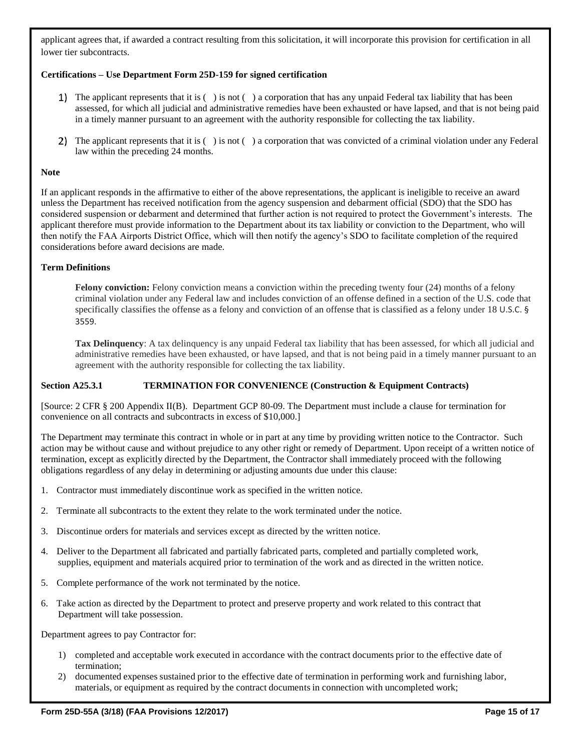applicant agrees that, if awarded a contract resulting from this solicitation, it will incorporate this provision for certification in all lower tier subcontracts.

#### **Certifications – Use Department Form 25D-159 for signed certification**

- 1) The applicant represents that it is  $( \cdot )$  is not  $( \cdot )$  a corporation that has any unpaid Federal tax liability that has been assessed, for which all judicial and administrative remedies have been exhausted or have lapsed, and that is not being paid in a timely manner pursuant to an agreement with the authority responsible for collecting the tax liability.
- 2) The applicant represents that it is ( ) is not ( ) a corporation that was convicted of a criminal violation under any Federal law within the preceding 24 months.

#### **Note**

If an applicant responds in the affirmative to either of the above representations, the applicant is ineligible to receive an award unless the Department has received notification from the agency suspension and debarment official (SDO) that the SDO has considered suspension or debarment and determined that further action is not required to protect the Government's interests. The applicant therefore must provide information to the Department about its tax liability or conviction to the Department, who will then notify the FAA Airports District Office, which will then notify the agency's SDO to facilitate completion of the required considerations before award decisions are made.

#### **Term Definitions**

**Felony conviction:** Felony conviction means a conviction within the preceding twenty four (24) months of a felony criminal violation under any Federal law and includes conviction of an offense defined in a section of the U.S. code that specifically classifies the offense as a felony and conviction of an offense that is classified as a felony under 18 U.S.C. § 3559.

**Tax Delinquency**: A tax delinquency is any unpaid Federal tax liability that has been assessed, for which all judicial and administrative remedies have been exhausted, or have lapsed, and that is not being paid in a timely manner pursuant to an agreement with the authority responsible for collecting the tax liability.

#### **Section A25.3.1 TERMINATION FOR CONVENIENCE (Construction & Equipment Contracts)**

[Source: 2 CFR § 200 Appendix II(B). Department GCP 80-09. The Department must include a clause for termination for convenience on all contracts and subcontracts in excess of \$10,000.]

The Department may terminate this contract in whole or in part at any time by providing written notice to the Contractor. Such action may be without cause and without prejudice to any other right or remedy of Department. Upon receipt of a written notice of termination, except as explicitly directed by the Department, the Contractor shall immediately proceed with the following obligations regardless of any delay in determining or adjusting amounts due under this clause:

- 1. Contractor must immediately discontinue work as specified in the written notice.
- 2. Terminate all subcontracts to the extent they relate to the work terminated under the notice.
- 3. Discontinue orders for materials and services except as directed by the written notice.
- 4. Deliver to the Department all fabricated and partially fabricated parts, completed and partially completed work, supplies, equipment and materials acquired prior to termination of the work and as directed in the written notice.
- 5. Complete performance of the work not terminated by the notice.
- 6. Take action as directed by the Department to protect and preserve property and work related to this contract that Department will take possession.

Department agrees to pay Contractor for:

- 1) completed and acceptable work executed in accordance with the contract documents prior to the effective date of termination;
- 2) documented expenses sustained prior to the effective date of termination in performing work and furnishing labor, materials, or equipment as required by the contract documents in connection with uncompleted work;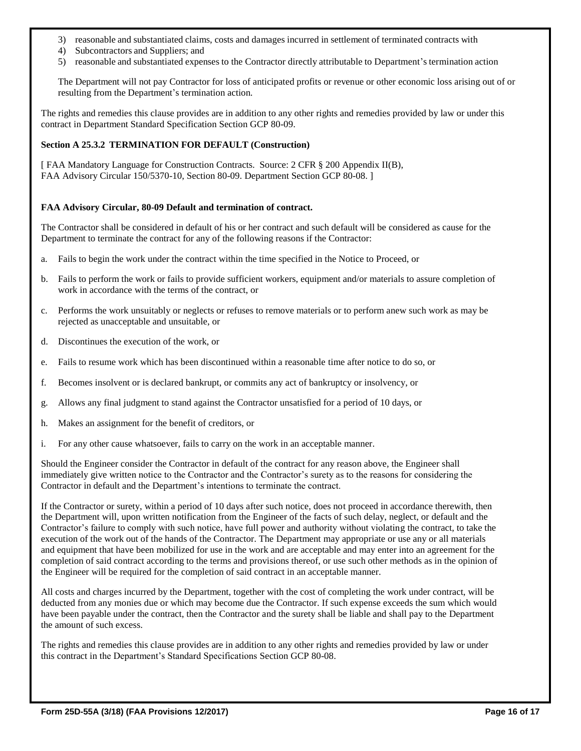- 3) reasonable and substantiated claims, costs and damages incurred in settlement of terminated contracts with
- 4) Subcontractors and Suppliers; and
- 5) reasonable and substantiated expenses to the Contractor directly attributable to Department's termination action

The Department will not pay Contractor for loss of anticipated profits or revenue or other economic loss arising out of or resulting from the Department's termination action.

The rights and remedies this clause provides are in addition to any other rights and remedies provided by law or under this contract in Department Standard Specification Section GCP 80-09.

### **Section A 25.3.2 TERMINATION FOR DEFAULT (Construction)**

[ FAA Mandatory Language for Construction Contracts. Source: 2 CFR § 200 Appendix II(B), FAA Advisory Circular 150/5370-10, Section 80-09. Department Section GCP 80-08. ]

#### **FAA Advisory Circular, 80-09 Default and termination of contract.**

The Contractor shall be considered in default of his or her contract and such default will be considered as cause for the Department to terminate the contract for any of the following reasons if the Contractor:

- a. Fails to begin the work under the contract within the time specified in the Notice to Proceed, or
- b. Fails to perform the work or fails to provide sufficient workers, equipment and/or materials to assure completion of work in accordance with the terms of the contract, or
- c. Performs the work unsuitably or neglects or refuses to remove materials or to perform anew such work as may be rejected as unacceptable and unsuitable, or
- d. Discontinues the execution of the work, or
- e. Fails to resume work which has been discontinued within a reasonable time after notice to do so, or
- f. Becomes insolvent or is declared bankrupt, or commits any act of bankruptcy or insolvency, or
- g. Allows any final judgment to stand against the Contractor unsatisfied for a period of 10 days, or
- h. Makes an assignment for the benefit of creditors, or
- i. For any other cause whatsoever, fails to carry on the work in an acceptable manner.

Should the Engineer consider the Contractor in default of the contract for any reason above, the Engineer shall immediately give written notice to the Contractor and the Contractor's surety as to the reasons for considering the Contractor in default and the Department's intentions to terminate the contract.

If the Contractor or surety, within a period of 10 days after such notice, does not proceed in accordance therewith, then the Department will, upon written notification from the Engineer of the facts of such delay, neglect, or default and the Contractor's failure to comply with such notice, have full power and authority without violating the contract, to take the execution of the work out of the hands of the Contractor. The Department may appropriate or use any or all materials and equipment that have been mobilized for use in the work and are acceptable and may enter into an agreement for the completion of said contract according to the terms and provisions thereof, or use such other methods as in the opinion of the Engineer will be required for the completion of said contract in an acceptable manner.

All costs and charges incurred by the Department, together with the cost of completing the work under contract, will be deducted from any monies due or which may become due the Contractor. If such expense exceeds the sum which would have been payable under the contract, then the Contractor and the surety shall be liable and shall pay to the Department the amount of such excess.

The rights and remedies this clause provides are in addition to any other rights and remedies provided by law or under this contract in the Department's Standard Specifications Section GCP 80-08.